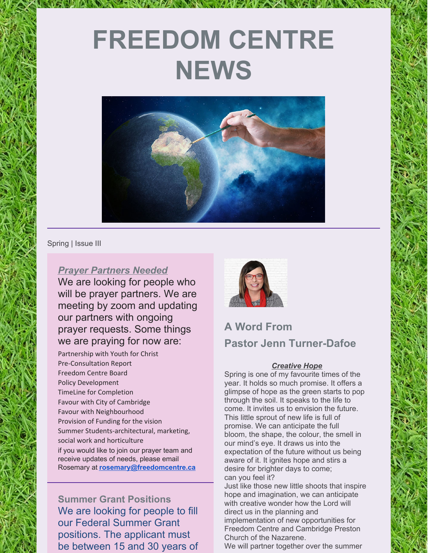# **FREEDOM CENTRE NEWS**



Spring | Issue III

### *Prayer Partners Needed*

We are looking for people who will be prayer partners. We are meeting by zoom and updating our partners with ongoing prayer requests. Some things we are praying for now are:

Partnership with Youth for Christ Pre-Consultation Report Freedom Centre Board Policy Development TimeLine for Completion Favour with City of Cambridge Favour with Neighbourhood Provision of Funding for the vision Summer Students-architectural, marketing, social work and horticulture if you would like to join our prayer team and receive updates of needs, please email Rosemary at **[rosemary@freedomcentre.ca](mailto:rosemary@freedomcentre.ca)**

**Summer Grant Positions** We are looking for people to fill our Federal Summer Grant positions. The applicant must be between 15 and 30 years of



# **A Word From Pastor Jenn Turner-Dafoe**

#### *Creative Hope*

Spring is one of my favourite times of the year. It holds so much promise. It offers a glimpse of hope as the green starts to pop through the soil. It speaks to the life to come. It invites us to envision the future. This little sprout of new life is full of promise. We can anticipate the full bloom, the shape, the colour, the smell in our mind's eye. It draws us into the expectation of the future without us being aware of it. It ignites hope and stirs a desire for brighter days to come; can you feel it?

Just like those new little shoots that inspire hope and imagination, we can anticipate with creative wonder how the Lord will direct us in the planning and

implementation of new opportunities for Freedom Centre and Cambridge Preston Church of the Nazarene.

We will partner together over the summer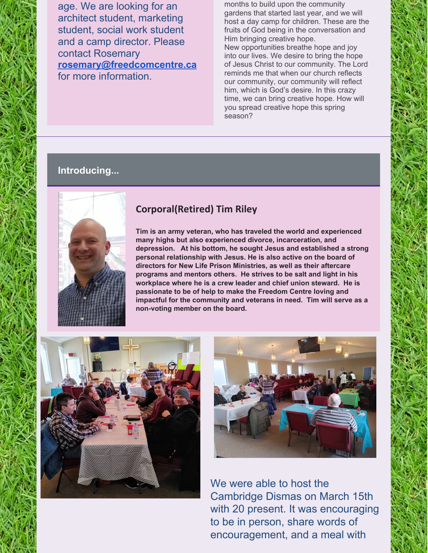age. We are looking for an architect student, marketing student, social work student and a camp director. Please contact Rosemary **[rosemary@freedcomcentre.ca](mailto:rosemary@freedcomcentre.ca)** for more information.

months to build upon the community gardens that started last year, and we will host a day camp for children. These are the fruits of God being in the conversation and Him bringing creative hope. New opportunities breathe hope and joy into our lives. We desire to bring the hope of Jesus Christ to our community. The Lord reminds me that when our church reflects our community, our community will reflect him, which is God's desire. In this crazy time, we can bring creative hope. How will you spread creative hope this spring season?

# **Introducing...**



# **Corporal(Retired) Tim Riley**

**Tim is an army veteran, who has traveled the world and experienced many highs but also experienced divorce, incarceration, and depression. At his bottom, he sought Jesus and established a strong personal relationship with Jesus. He is also active on the board of directors for New Life Prison Ministries, as well as their aftercare programs and mentors others. He strives to be salt and light in his workplace where he is a crew leader and chief union steward. He is passionate to be of help to make the Freedom Centre loving and impactful for the community and veterans in need. Tim will serve as a non-voting member on the board.**





We were able to host the Cambridge Dismas on March 15th with 20 present. It was encouraging to be in person, share words of encouragement, and a meal with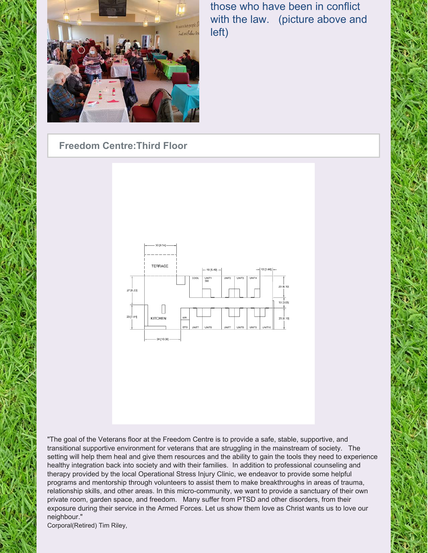

those who have been in conflict with the law. (picture above and left)

# **Freedom Centre:Third Floor**



"The goal of the Veterans floor at the Freedom Centre is to provide a safe, stable, supportive, and transitional supportive environment for veterans that are struggling in the mainstream of society. The setting will help them heal and give them resources and the ability to gain the tools they need to experience healthy integration back into society and with their families. In addition to professional counseling and therapy provided by the local Operational Stress Injury Clinic, we endeavor to provide some helpful programs and mentorship through volunteers to assist them to make breakthroughs in areas of trauma, relationship skills, and other areas. In this micro-community, we want to provide a sanctuary of their own private room, garden space, and freedom. Many suffer from PTSD and other disorders, from their exposure during their service in the Armed Forces. Let us show them love as Christ wants us to love our neighbour."

Corporal(Retired) Tim Riley,